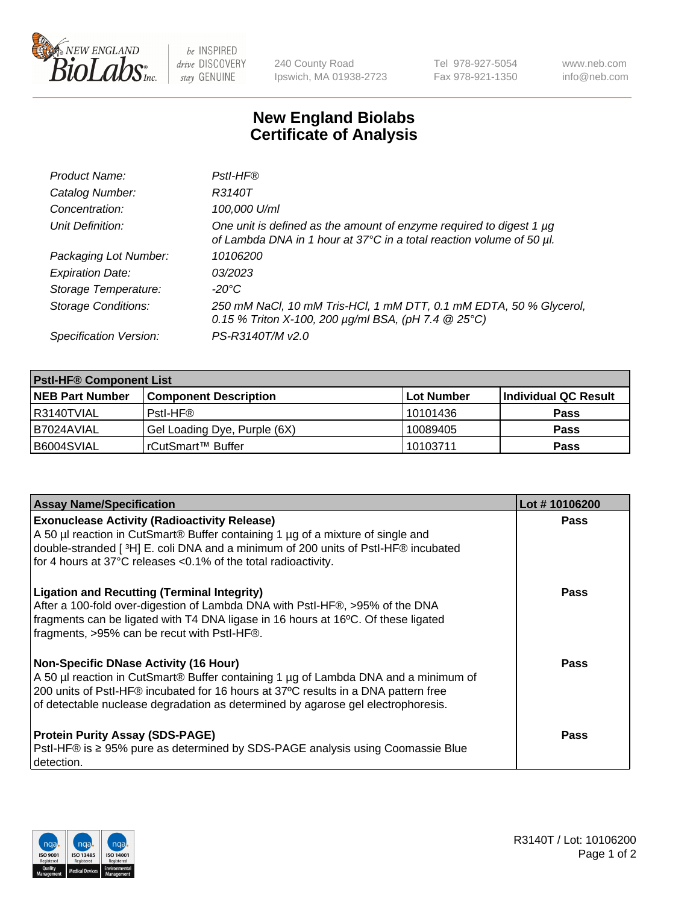

 $be$  INSPIRED drive DISCOVERY stay GENUINE

240 County Road Ipswich, MA 01938-2723 Tel 978-927-5054 Fax 978-921-1350 www.neb.com info@neb.com

## **New England Biolabs Certificate of Analysis**

| Product Name:              | Pstl-HF®                                                                                                                                             |
|----------------------------|------------------------------------------------------------------------------------------------------------------------------------------------------|
| Catalog Number:            | R3140T                                                                                                                                               |
| Concentration:             | 100,000 U/ml                                                                                                                                         |
| Unit Definition:           | One unit is defined as the amount of enzyme required to digest 1 µg<br>of Lambda DNA in 1 hour at 37°C in a total reaction volume of 50 µl.          |
| Packaging Lot Number:      | 10106200                                                                                                                                             |
| <b>Expiration Date:</b>    | 03/2023                                                                                                                                              |
| Storage Temperature:       | $-20^{\circ}$ C                                                                                                                                      |
| <b>Storage Conditions:</b> | 250 mM NaCl, 10 mM Tris-HCl, 1 mM DTT, 0.1 mM EDTA, 50 % Glycerol,<br>0.15 % Triton X-100, 200 $\mu$ g/ml BSA, (pH 7.4 $\textcircled{25}^{\circ}$ C) |
| Specification Version:     | PS-R3140T/M v2.0                                                                                                                                     |

| <b>PstI-HF® Component List</b> |                              |            |                      |  |
|--------------------------------|------------------------------|------------|----------------------|--|
| <b>NEB Part Number</b>         | <b>Component Description</b> | Lot Number | Individual QC Result |  |
| I R3140TVIAL                   | Pstl-HF®                     | 10101436   | <b>Pass</b>          |  |
| I B7024AVIAL                   | Gel Loading Dye, Purple (6X) | 10089405   | <b>Pass</b>          |  |
| B6004SVIAL                     | rCutSmart™ Buffer            | 10103711   | <b>Pass</b>          |  |

| <b>Assay Name/Specification</b>                                                                                                                                                                                                                                                                               | Lot #10106200 |
|---------------------------------------------------------------------------------------------------------------------------------------------------------------------------------------------------------------------------------------------------------------------------------------------------------------|---------------|
| <b>Exonuclease Activity (Radioactivity Release)</b><br>A 50 µl reaction in CutSmart® Buffer containing 1 µg of a mixture of single and                                                                                                                                                                        | <b>Pass</b>   |
| double-stranded [3H] E. coli DNA and a minimum of 200 units of PstI-HF® incubated<br>for 4 hours at 37°C releases <0.1% of the total radioactivity.                                                                                                                                                           |               |
| <b>Ligation and Recutting (Terminal Integrity)</b><br>After a 100-fold over-digestion of Lambda DNA with PstI-HF®, >95% of the DNA<br>fragments can be ligated with T4 DNA ligase in 16 hours at 16°C. Of these ligated<br>fragments, >95% can be recut with PstI-HF®.                                        | <b>Pass</b>   |
| <b>Non-Specific DNase Activity (16 Hour)</b><br>A 50 µl reaction in CutSmart® Buffer containing 1 µg of Lambda DNA and a minimum of<br>200 units of Pstl-HF® incubated for 16 hours at 37°C results in a DNA pattern free<br>of detectable nuclease degradation as determined by agarose gel electrophoresis. | Pass          |
| <b>Protein Purity Assay (SDS-PAGE)</b><br>PstI-HF® is ≥ 95% pure as determined by SDS-PAGE analysis using Coomassie Blue<br>detection.                                                                                                                                                                        | <b>Pass</b>   |